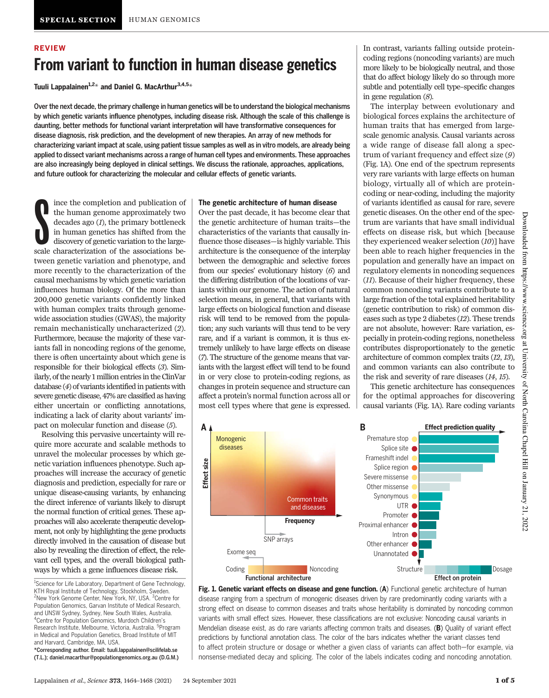# REVIEW From variant to function in human disease genetics

Tuuli Lappalainen<sup>1,2\*</sup> and Daniel G. MacArthur<sup>3,4,5\*</sup>

Over the next decade, the primary challenge in human genetics will be to understand the biological mechanisms by which genetic variants influence phenotypes, including disease risk. Although the scale of this challenge is daunting, better methods for functional variant interpretation will have transformative consequences for disease diagnosis, risk prediction, and the development of new therapies. An array of new methods for characterizing variant impact at scale, using patient tissue samples as well as in vitro models, are already being applied to dissect variant mechanisms across a range of human cell types and environments. These approaches are also increasingly being deployed in clinical settings. We discuss the rationale, approaches, applications, and future outlook for characterizing the molecular and cellular effects of genetic variants.

**S** ince the completion and publication of the human genome approximately two decades ago (1), the primary bottleneck in human genetics has shifted from the discovery of genetic variation to the largescale characterization of the associations between genetic variation and phenotype, and more recently to the characterization of the causal mechanisms by which genetic variation influences human biology. Of the more than 200,000 genetic variants confidently linked with human complex traits through genomewide association studies (GWAS), the majority remain mechanistically uncharacterized (2). Furthermore, because the majority of these variants fall in noncoding regions of the genome, there is often uncertainty about which gene is responsible for their biological effects (3). Similarly, of the nearly 1 million entries in the ClinVar database (4) of variants identified in patients with severe genetic disease, 47% are classified as having either uncertain or conflicting annotations, indicating a lack of clarity about variants' impact on molecular function and disease (5).

Resolving this pervasive uncertainty will require more accurate and scalable methods to unravel the molecular processes by which genetic variation influences phenotype. Such approaches will increase the accuracy of genetic diagnosis and prediction, especially for rare or unique disease-causing variants, by enhancing the direct inference of variants likely to disrupt the normal function of critical genes. These approaches will also accelerate therapeutic development, not only by highlighting the gene products directly involved in the causation of disease but also by revealing the direction of effect, the relevant cell types, and the overall biological pathways by which a gene influences disease risk.

#### The genetic architecture of human disease

Over the past decade, it has become clear that the genetic architecture of human traits—the characteristics of the variants that causally influence those diseases—is highly variable. This architecture is the consequence of the interplay between the demographic and selective forces from our species' evolutionary history (6) and the differing distribution of the locations of variants within our genome. The action of natural selection means, in general, that variants with large effects on biological function and disease risk will tend to be removed from the population; any such variants will thus tend to be very rare, and if a variant is common, it is thus extremely unlikely to have large effects on disease (7). The structure of the genome means that variants with the largest effect will tend to be found in or very close to protein-coding regions, as changes in protein sequence and structure can affect a protein's normal function across all or most cell types where that gene is expressed.

In contrast, variants falling outside proteincoding regions (noncoding variants) are much more likely to be biologically neutral, and those that do affect biology likely do so through more subtle and potentially cell type–specific changes in gene regulation (8).

The interplay between evolutionary and biological forces explains the architecture of human traits that has emerged from largescale genomic analysis. Causal variants across a wide range of disease fall along a spectrum of variant frequency and effect size (9) (Fig. 1A). One end of the spectrum represents very rare variants with large effects on human biology, virtually all of which are proteincoding or near-coding, including the majority of variants identified as causal for rare, severe genetic diseases. On the other end of the spectrum are variants that have small individual effects on disease risk, but which [because they experienced weaker selection (10)] have been able to reach higher frequencies in the population and generally have an impact on regulatory elements in noncoding sequences (11). Because of their higher frequency, these common noncoding variants contribute to a large fraction of the total explained heritability (genetic contribution to risk) of common diseases such as type 2 diabetes (12). These trends are not absolute, however: Rare variation, especially in protein-coding regions, nonetheless contributes disproportionately to the genetic architecture of common complex traits (12, 13), and common variants can also contribute to the risk and severity of rare diseases (14, 15).

This genetic architecture has consequences for the optimal approaches for discovering causal variants (Fig. 1A). Rare coding variants



Fig. 1. Genetic variant effects on disease and gene function. (A) Functional genetic architecture of human disease ranging from a spectrum of monogenic diseases driven by rare predominantly coding variants with a strong effect on disease to common diseases and traits whose heritability is dominated by noncoding common variants with small effect sizes. However, these classifications are not exclusive: Noncoding causal variants in Mendelian disease exist, as do rare variants affecting common traits and diseases. (B) Quality of variant effect predictions by functional annotation class. The color of the bars indicates whether the variant classes tend to affect protein structure or dosage or whether a given class of variants can affect both—for example, via nonsense-mediated decay and splicing. The color of the labels indicates coding and noncoding annotation.

<sup>&</sup>lt;sup>1</sup>Science for Life Laboratory, Department of Gene Technology, KTH Royal Institute of Technology, Stockholm, Sweden. <sup>2</sup>New York Genome Center, New York, NY, USA. <sup>3</sup>Centre for Population Genomics, Garvan Institute of Medical Research, and UNSW Sydney, Sydney, New South Wales, Australia. 4 Centre for Population Genomics, Murdoch Children's Research Institute, Melbourne, Victoria, Australia. <sup>5</sup>Program in Medical and Population Genetics, Broad Institute of MIT and Harvard, Cambridge, MA, USA.

<sup>\*</sup>Corresponding author. Email: tuuli.lappalainen@scilifelab.se (T.L.); daniel.macarthur@populationgenomics.org.au (D.G.M.)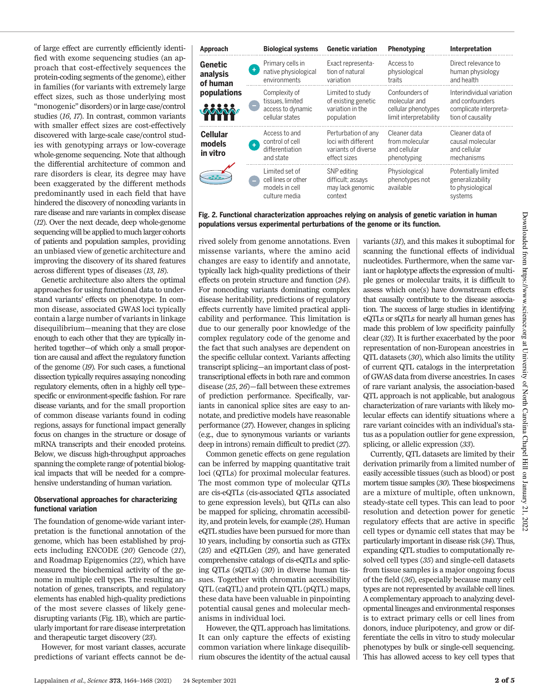of large effect are currently efficiently identified with exome sequencing studies (an approach that cost-effectively sequences the protein-coding segments of the genome), either in families (for variants with extremely large effect sizes, such as those underlying most "monogenic" disorders) or in large case/control studies (16, 17). In contrast, common variants with smaller effect sizes are cost-effectively discovered with large-scale case/control studies with genotyping arrays or low-coverage whole-genome sequencing. Note that although the differential architecture of common and rare disorders is clear, its degree may have been exaggerated by the different methods predominantly used in each field that have hindered the discovery of noncoding variants in rare disease and rare variants in complex disease (12). Over the next decade, deep whole-genome sequencing will be applied to much larger cohorts of patients and population samples, providing an unbiased view of genetic architecture and improving the discovery of its shared features across different types of diseases (13, 18).

Genetic architecture also alters the optimal approaches for using functional data to understand variants' effects on phenotype. In common disease, associated GWAS loci typically contain a large number of variants in linkage disequilibrium—meaning that they are close enough to each other that they are typically inherited together—of which only a small proportion are causal and affect the regulatory function of the genome (19). For such cases, a functional dissection typically requires assaying noncoding regulatory elements, often in a highly cell type– specific or environment-specific fashion. For rare disease variants, and for the small proportion of common disease variants found in coding regions, assays for functional impact generally focus on changes in the structure or dosage of mRNA transcripts and their encoded proteins. Below, we discuss high-throughput approaches spanning the complete range of potential biological impacts that will be needed for a comprehensive understanding of human variation.

#### Observational approaches for characterizing functional variation

The foundation of genome-wide variant interpretation is the functional annotation of the genome, which has been established by projects including ENCODE (20) Gencode (21), and Roadmap Epigenomics (22), which have measured the biochemical activity of the genome in multiple cell types. The resulting annotation of genes, transcripts, and regulatory elements has enabled high-quality predictions of the most severe classes of likely genedisrupting variants (Fig. 1B), which are particularly important for rare disease interpretation and therapeutic target discovery (23).

However, for most variant classes, accurate predictions of variant effects cannot be de-

| Approach                               | <b>Biological systems</b>                                                                | <b>Genetic variation</b>                                                          | Phenotyping                                                                      | Interpretation                                                                              |
|----------------------------------------|------------------------------------------------------------------------------------------|-----------------------------------------------------------------------------------|----------------------------------------------------------------------------------|---------------------------------------------------------------------------------------------|
| <b>Genetic</b><br>analysis<br>of human | Primary cells in<br>native physiological<br>environments                                 | Exact representa-<br>tion of natural<br>variation                                 | Access to<br>physiological<br>traits                                             | Direct relevance to<br>human physiology<br>and health                                       |
| populations<br><b>LOWMARY WOW</b>      | Complexity of<br>tissues. limited<br>access to dynamic<br>cellular states                | Limited to study<br>of existing genetic<br>variation in the<br>population         | Confounders of<br>molecular and<br>cellular phenotypes<br>limit interpretability | Interindividual variation<br>and confounders<br>complicate interpreta-<br>tion of causality |
| <b>Cellular</b><br>models<br>in vitro  | Access to and<br>control of cell<br>$\ddot{\phantom{1}}$<br>differentiation<br>and state | Perturbation of any<br>loci with different<br>variants of diverse<br>effect sizes | Cleaner data<br>from molecular<br>and cellular<br>phenotyping                    | Cleaner data of<br>causal molecular<br>and cellular<br>mechanisms                           |
|                                        | Limited set of<br>cell lines or other<br>models in cell<br>culture media                 | SNP editing<br>difficult; assays<br>may lack genomic<br>context                   | Physiological<br>phenotypes not<br>available                                     | Potentially limited<br>generalizability<br>to physiological<br>systems                      |

Fig. 2. Functional characterization approaches relying on analysis of genetic variation in human populations versus experimental perturbations of the genome or its function.

rived solely from genome annotations. Even missense variants, where the amino acid changes are easy to identify and annotate, typically lack high-quality predictions of their effects on protein structure and function (24). For noncoding variants dominating complex disease heritability, predictions of regulatory effects currently have limited practical applicability and performance. This limitation is due to our generally poor knowledge of the complex regulatory code of the genome and the fact that such analyses are dependent on the specific cellular context. Variants affecting transcript splicing—an important class of posttranscriptional effects in both rare and common disease (25, 26)—fall between these extremes of prediction performance. Specifically, variants in canonical splice sites are easy to annotate, and predictive models have reasonable performance (27). However, changes in splicing (e.g., due to synonymous variants or variants deep in introns) remain difficult to predict (27).

Common genetic effects on gene regulation can be inferred by mapping quantitative trait loci (QTLs) for proximal molecular features. The most common type of molecular QTLs are cis-eQTLs (cis-associated QTLs associated to gene expression levels), but QTLs can also be mapped for splicing, chromatin accessibility, and protein levels, for example (28). Human eQTL studies have been pursued for more than 10 years, including by consortia such as GTEx (25) and eQTLGen (29), and have generated comprehensive catalogs of cis-eQTLs and splicing QTLs (sQTLs) (30) in diverse human tissues. Together with chromatin accessibility QTL (caQTL) and protein QTL (pQTL) maps, these data have been valuable in pinpointing potential causal genes and molecular mechanisms in individual loci.

However, the QTL approach has limitations. It can only capture the effects of existing common variation where linkage disequilibrium obscures the identity of the actual causal variants (31), and this makes it suboptimal for scanning the functional effects of individual nucleotides. Furthermore, when the same variant or haplotype affects the expression of multiple genes or molecular traits, it is difficult to assess which one(s) have downstream effects that causally contribute to the disease association. The success of large studies in identifying eQTLs or sQTLs for nearly all human genes has made this problem of low specificity painfully clear (32). It is further exacerbated by the poor representation of non-European ancestries in QTL datasets (30), which also limits the utility of current QTL catalogs in the interpretation of GWAS data from diverse ancestries. In cases of rare variant analysis, the association-based QTL approach is not applicable, but analogous characterization of rare variants with likely molecular effects can identify situations where a rare variant coincides with an individual's status as a population outlier for gene expression, splicing, or allelic expression (33).

Currently, QTL datasets are limited by their derivation primarily from a limited number of easily accessible tissues (such as blood) or post mortem tissue samples (30). These biospecimens are a mixture of multiple, often unknown, steady-state cell types. This can lead to poor resolution and detection power for genetic regulatory effects that are active in specific cell types or dynamic cell states that may be particularly important in disease risk (34). Thus, expanding QTL studies to computationally resolved cell types (35) and single-cell datasets from tissue samples is a major ongoing focus of the field (36), especially because many cell types are not represented by available cell lines. A complementary approach to analyzing developmental lineages and environmental responses is to extract primary cells or cell lines from donors, induce pluripotency, and grow or differentiate the cells in vitro to study molecular phenotypes by bulk or single-cell sequencing. This has allowed access to key cell types that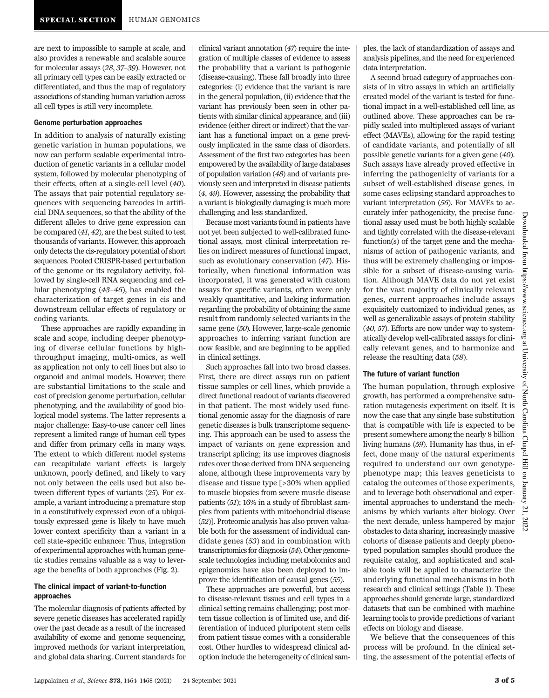are next to impossible to sample at scale, and also provides a renewable and scalable source for molecular assays (28, 37–39). However, not all primary cell types can be easily extracted or differentiated, and thus the map of regulatory associations of standing human variation across all cell types is still very incomplete.

#### Genome perturbation approaches

In addition to analysis of naturally existing genetic variation in human populations, we now can perform scalable experimental introduction of genetic variants in a cellular model system, followed by molecular phenotyping of their effects, often at a single-cell level (40). The assays that pair potential regulatory sequences with sequencing barcodes in artificial DNA sequences, so that the ability of the different alleles to drive gene expression can be compared (41, 42), are the best suited to test thousands of variants. However, this approach only detects the cis-regulatory potential of short sequences. Pooled CRISPR-based perturbation of the genome or its regulatory activity, followed by single-cell RNA sequencing and cellular phenotyping (43–46), has enabled the characterization of target genes in cis and downstream cellular effects of regulatory or coding variants.

These approaches are rapidly expanding in scale and scope, including deeper phenotyping of diverse cellular functions by highthroughput imaging, multi-omics, as well as application not only to cell lines but also to organoid and animal models. However, there are substantial limitations to the scale and cost of precision genome perturbation, cellular phenotyping, and the availability of good biological model systems. The latter represents a major challenge: Easy-to-use cancer cell lines represent a limited range of human cell types and differ from primary cells in many ways. The extent to which different model systems can recapitulate variant effects is largely unknown, poorly defined, and likely to vary not only between the cells used but also between different types of variants (25). For example, a variant introducing a premature stop in a constitutively expressed exon of a ubiquitously expressed gene is likely to have much lower context specificity than a variant in a cell state–specific enhancer. Thus, integration of experimental approaches with human genetic studies remains valuable as a way to leverage the benefits of both approaches (Fig. 2).

### The clinical impact of variant-to-function approaches

The molecular diagnosis of patients affected by severe genetic diseases has accelerated rapidly over the past decade as a result of the increased availability of exome and genome sequencing, improved methods for variant interpretation, and global data sharing. Current standards for

clinical variant annotation (47) require the integration of multiple classes of evidence to assess the probability that a variant is pathogenic (disease-causing). These fall broadly into three categories: (i) evidence that the variant is rare in the general population, (ii) evidence that the variant has previously been seen in other patients with similar clinical appearance, and (iii) evidence (either direct or indirect) that the variant has a functional impact on a gene previously implicated in the same class of disorders. Assessment of the first two categories has been empowered by the availability of large databases of population variation (48) and of variants previously seen and interpreted in disease patients (4, 49). However, assessing the probability that a variant is biologically damaging is much more challenging and less standardized.

Because most variants found in patients have not yet been subjected to well-calibrated functional assays, most clinical interpretation relies on indirect measures of functional impact, such as evolutionary conservation (47). Historically, when functional information was incorporated, it was generated with custom assays for specific variants, often were only weakly quantitative, and lacking information regarding the probability of obtaining the same result from randomly selected variants in the same gene (50). However, large-scale genomic approaches to inferring variant function are now feasible, and are beginning to be applied in clinical settings.

Such approaches fall into two broad classes. First, there are direct assays run on patient tissue samples or cell lines, which provide a direct functional readout of variants discovered in that patient. The most widely used functional genomic assay for the diagnosis of rare genetic diseases is bulk transcriptome sequencing. This approach can be used to assess the impact of variants on gene expression and transcript splicing; its use improves diagnosis rates over those derived from DNA sequencing alone, although these improvements vary by disease and tissue type [>30% when applied to muscle biopsies from severe muscle disease patients (51); 16% in a study of fibroblast samples from patients with mitochondrial disease (52)]. Proteomic analysis has also proven valuable both for the assessment of individual candidate genes (53) and in combination with transcriptomics for diagnosis (54). Other genomescale technologies including metabolomics and epigenomics have also been deployed to improve the identification of causal genes (55).

These approaches are powerful, but access to disease-relevant tissues and cell types in a clinical setting remains challenging; post mortem tissue collection is of limited use, and differentiation of induced pluripotent stem cells from patient tissue comes with a considerable cost. Other hurdles to widespread clinical adoption include the heterogeneity of clinical sam-

ples, the lack of standardization of assays and analysis pipelines, and the need for experienced data interpretation.

A second broad category of approaches consists of in vitro assays in which an artificially created model of the variant is tested for functional impact in a well-established cell line, as outlined above. These approaches can be rapidly scaled into multiplexed assays of variant effect (MAVEs), allowing for the rapid testing of candidate variants, and potentially of all possible genetic variants for a given gene (40). Such assays have already proved effective in inferring the pathogenicity of variants for a subset of well-established disease genes, in some cases eclipsing standard approaches to variant interpretation (56). For MAVEs to accurately infer pathogenicity, the precise functional assay used must be both highly scalable and tightly correlated with the disease-relevant function(s) of the target gene and the mechanisms of action of pathogenic variants, and thus will be extremely challenging or impossible for a subset of disease-causing variation. Although MAVE data do not yet exist for the vast majority of clinically relevant genes, current approaches include assays exquisitely customized to individual genes, as well as generalizable assays of protein stability (40, 57). Efforts are now under way to systematically develop well-calibrated assays for clinically relevant genes, and to harmonize and release the resulting data (58).

## The future of variant function

The human population, through explosive growth, has performed a comprehensive saturation mutagenesis experiment on itself. It is now the case that any single base substitution that is compatible with life is expected to be present somewhere among the nearly 8 billion living humans (59). Humanity has thus, in effect, done many of the natural experiments required to understand our own genotypephenotype map; this leaves geneticists to catalog the outcomes of those experiments, and to leverage both observational and experimental approaches to understand the mechanisms by which variants alter biology. Over the next decade, unless hampered by major obstacles to data sharing, increasingly massive cohorts of disease patients and deeply phenotyped population samples should produce the requisite catalog, and sophisticated and scalable tools will be applied to characterize the underlying functional mechanisms in both research and clinical settings (Table 1). These approaches should generate large, standardized datasets that can be combined with machine learning tools to provide predictions of variant effects on biology and disease.

We believe that the consequences of this process will be profound. In the clinical setting, the assessment of the potential effects of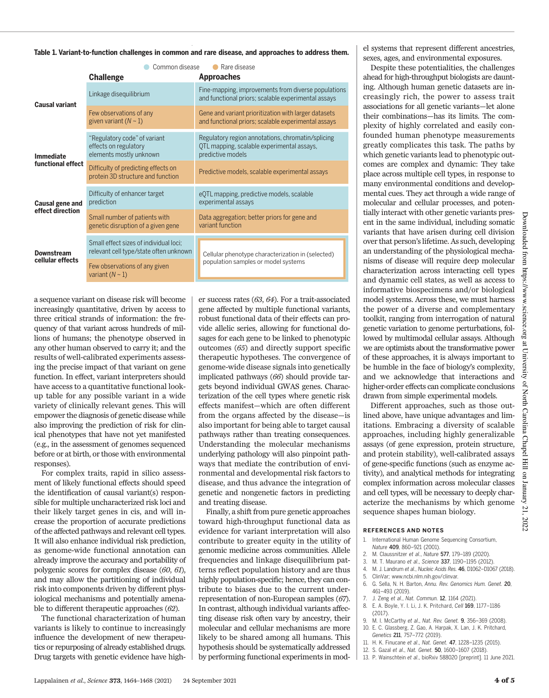Table 1. Variant-to-function challenges in common and rare disease, and approaches to address them.

|                                       | Common disease<br><b>Challenge</b>                                               | Rare disease<br><b>Approaches</b>                                                                                    |  |
|---------------------------------------|----------------------------------------------------------------------------------|----------------------------------------------------------------------------------------------------------------------|--|
| Causal variant                        | Linkage disequilibrium                                                           | Fine-mapping, improvements from diverse populations<br>and functional priors; scalable experimental assays           |  |
|                                       | Few observations of any<br>given variant $(N \sim 1)$                            | Gene and variant prioritization with larger datasets<br>and functional priors; scalable experimental assays          |  |
| <b>Immediate</b><br>functional effect | "Regulatory code" of variant<br>effects on regulatory<br>elements mostly unknown | Regulatory region annotations, chromatin/splicing<br>OTL mapping, scalable experimental assays,<br>predictive models |  |
|                                       | Difficulty of predicting effects on<br>protein 3D structure and function         | Predictive models, scalable experimental assays                                                                      |  |
| Causal gene and<br>effect direction   | Difficulty of enhancer target<br>prediction                                      | eQTL mapping, predictive models, scalable<br>experimental assays                                                     |  |
|                                       | Small number of patients with<br>genetic disruption of a given gene              | Data aggregation; better priors for gene and<br>variant function                                                     |  |
| Downstream<br>cellular effects        | Small effect sizes of individual loci:<br>relevant cell type/state often unknown | Cellular phenotype characterization in (selected)<br>population samples or model systems                             |  |
|                                       | Few observations of any given<br>variant $(N \sim 1)$                            |                                                                                                                      |  |

a sequence variant on disease risk will become increasingly quantitative, driven by access to three critical strands of information: the frequency of that variant across hundreds of millions of humans; the phenotype observed in any other human observed to carry it; and the results of well-calibrated experiments assessing the precise impact of that variant on gene function. In effect, variant interpreters should have access to a quantitative functional lookup table for any possible variant in a wide variety of clinically relevant genes. This will empower the diagnosis of genetic disease while also improving the prediction of risk for clinical phenotypes that have not yet manifested (e.g., in the assessment of genomes sequenced before or at birth, or those with environmental responses).

For complex traits, rapid in silico assessment of likely functional effects should speed the identification of causal variant(s) responsible for multiple uncharacterized risk loci and their likely target genes in cis, and will increase the proportion of accurate predictions of the affected pathways and relevant cell types. It will also enhance individual risk prediction, as genome-wide functional annotation can already improve the accuracy and portability of polygenic scores for complex disease (60, 61), and may allow the partitioning of individual risk into components driven by different physiological mechanisms and potentially amenable to different therapeutic approaches (62).

The functional characterization of human variants is likely to continue to increasingly influence the development of new therapeutics or repurposing of already established drugs. Drug targets with genetic evidence have high-

er success rates (63, 64). For a trait-associated gene affected by multiple functional variants, robust functional data of their effects can provide allelic series, allowing for functional dosages for each gene to be linked to phenotypic outcomes (65) and directly support specific therapeutic hypotheses. The convergence of genome-wide disease signals into genetically implicated pathways (66) should provide targets beyond individual GWAS genes. Characterization of the cell types where genetic risk effects manifest—which are often different from the organs affected by the disease—is also important for being able to target causal pathways rather than treating consequences. Understanding the molecular mechanisms underlying pathology will also pinpoint pathways that mediate the contribution of environmental and developmental risk factors to disease, and thus advance the integration of genetic and nongenetic factors in predicting and treating disease.

Finally, a shift from pure genetic approaches toward high-throughput functional data as evidence for variant interpretation will also contribute to greater equity in the utility of genomic medicine across communities. Allele frequencies and linkage disequilibrium patterns reflect population history and are thus highly population-specific; hence, they can contribute to biases due to the current underrepresentation of non-European samples (67). In contrast, although individual variants affecting disease risk often vary by ancestry, their molecular and cellular mechanisms are more likely to be shared among all humans. This hypothesis should be systematically addressed by performing functional experiments in mod-

el systems that represent different ancestries, sexes, ages, and environmental exposures.

Despite these potentialities, the challenges ahead for high-throughput biologists are daunting. Although human genetic datasets are increasingly rich, the power to assess trait associations for all genetic variants—let alone their combinations—has its limits. The complexity of highly correlated and easily confounded human phenotype measurements greatly complicates this task. The paths by which genetic variants lead to phenotypic outcomes are complex and dynamic: They take place across multiple cell types, in response to many environmental conditions and developmental cues. They act through a wide range of molecular and cellular processes, and potentially interact with other genetic variants present in the same individual, including somatic variants that have arisen during cell division over that person's lifetime. As such, developing an understanding of the physiological mechanisms of disease will require deep molecular characterization across interacting cell types and dynamic cell states, as well as access to informative biospecimens and/or biological model systems. Across these, we must harness the power of a diverse and complementary toolkit, ranging from interrogation of natural genetic variation to genome perturbations, followed by multimodal cellular assays. Although we are optimists about the transformative power of these approaches, it is always important to be humble in the face of biology's complexity, and we acknowledge that interactions and higher-order effects can complicate conclusions drawn from simple experimental models.

Different approaches, such as those outlined above, have unique advantages and limitations. Embracing a diversity of scalable approaches, including highly generalizable assays (of gene expression, protein structure, and protein stability), well-calibrated assays of gene-specific functions (such as enzyme activity), and analytical methods for integrating complex information across molecular classes and cell types, will be necessary to deeply characterize the mechanisms by which genome sequence shapes human biology.

#### REFERENCES AND NOTES

- 1. International Human Genome Sequencing Consortium, Nature 409, 860–921 (2001).
- 2. M. Claussnitzer et al., Nature 577, 179–189 (2020).
- 3. M. T. Maurano et al., Science 337, 1190–1195 (2012).
- 4. M. J. Landrum et al., Nucleic Acids Res. 46, D1062–D1067 (2018).
- 5. ClinVar; www.ncbi.nlm.nih.gov/clinvar.
- 6. G. Sella, N. H. Barton, Annu. Rev. Genomics Hum. Genet. 20, 461–493 (2019).
- J. Zeng et al., Nat. Commun. 12, 1164 (2021). 8. E. A. Boyle, Y. I. Li, J. K. Pritchard, Cell 169, 1177–1186
	-
	- (2017).
- 9. M. I. McCarthy et al., Nat. Rev. Genet. 9, 356–369 (2008). 10. E. C. Glassberg, Z. Gao, A. Harpak, X. Lan, J. K. Pritchard,
- Genetics 211, 757–772 (2019). 11. H. K. Finucane et al., Nat. Genet. 47, 1228–1235 (2015).
- 12. S. Gazal et al., Nat. Genet. 50, 1600–1607 (2018).
- 
- 13. P. Wainschtein et al., bioRxiv 588020 [preprint]. 11 June 2021.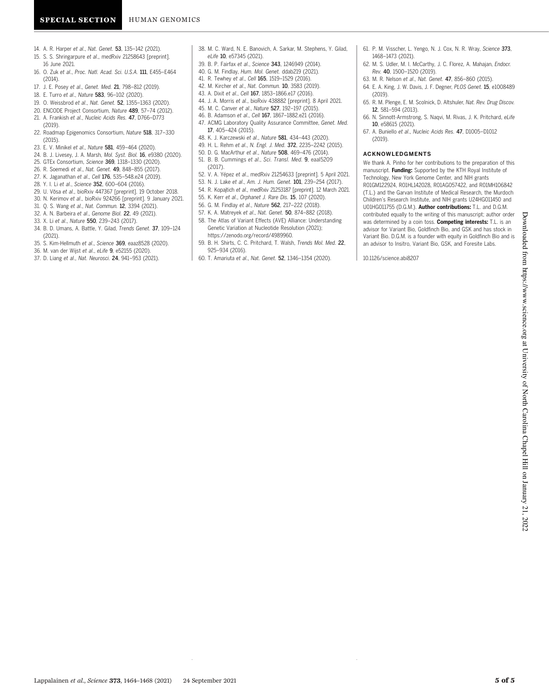- 14. A. R. Harper et al., Nat. Genet. 53, 135–142 (2021).
- 15. S. S. Shringarpure et al., medRxiv 21258643 [preprint]. 16 June 2021.
- 16. O. Zuk et al., Proc. Natl. Acad. Sci. U.S.A. 111, E455–E464 (2014).
- 17. J. E. Posey et al., Genet. Med. 21, 798–812 (2019).
- 18. E. Turro et al., Nature 583, 96–102 (2020).
- 19. O. Weissbrod et al., Nat. Genet. 52, 1355–1363 (2020).
- 20. ENCODE Project Consortium, Nature 489, 57–74 (2012).
- 21. A. Frankish et al., Nucleic Acids Res. 47, D766–D773 (2019).
- 22. Roadmap Epigenomics Consortium, Nature 518, 317–330  $(2015)$
- 23. E. V. Minikel et al., Nature 581, 459–464 (2020).
- 24. B. J. Livesey, J. A. Marsh, Mol. Syst. Biol. 16, e9380 (2020).
- 25. GTEx Consortium, Science 369, 1318–1330 (2020).
- 26. R. Soemedi et al., Nat. Genet. 49, 848–855 (2017).
- 27. K. Jaganathan et al., Cell 176, 535-548.e24 (2019).
- 28. Y. I. Li et al., Science 352, 600–604 (2016).
- 29. U. Võsa et al., bioRxiv 447367 [preprint]. 19 October 2018.
- 30. N. Kerimov et al., bioRxiv 924266 [preprint]. 9 January 2021.
- 31. Q. S. Wang et al., Nat. Commun. 12, 3394 (2021).
- 32. A. N. Barbeira et al., Genome Biol. 22, 49 (2021).
- 33. X. Li et al., Nature 550, 239–243 (2017).
- 34. B. D. Umans, A. Battle, Y. Gilad, Trends Genet. 37, 109–124 (2021).
- 35. S. Kim-Hellmuth et al., Science 369, eaaz8528 (2020).
- 36. M. van der Wijst et al., eLife 9, e52155 (2020).
- 37. D. Liang et al., Nat. Neurosci. 24, 941–953 (2021).
- 38. M. C. Ward, N. E. Banovich, A. Sarkar, M. Stephens, Y. Gilad, eLife 10, e57345 (2021).
- 39. B. P. Fairfax et al., Science 343, 1246949 (2014).
- 40. G. M. Findlay, Hum. Mol. Genet. ddab219 (2021).
- 41. R. Tewhey et al., Cell 165, 1519–1529 (2016).
- 42. M. Kircher et al., Nat. Commun. 10, 3583 (2019).
- 43. A. Dixit et al., Cell 167, 1853–1866.e17 (2016).
- 44. J. A. Morris et al., bioRxiv 438882 [preprint]. 8 April 2021.
- 45. M. C. Canver et al., Nature 527, 192–197 (2015).
- 46. B. Adamson et al., Cell 167, 1867–1882.e21 (2016).
- 47. ACMG Laboratory Quality Assurance Committee, Genet. Med. 17, 405–424 (2015).
- 48. K. J. Karczewski et al., Nature 581, 434–443 (2020).
- 49. H. L. Rehm et al., N. Engl. J. Med. 372, 2235–2242 (2015).
- 50. D. G. MacArthur et al., Nature 508, 469–476 (2014).
- 51. B. B. Cummings et al., Sci. Transl. Med. 9, eaal5209 (2017).
- 52. V. A. Yépez et al., medRxiv 21254633 [preprint]. 5 April 2021.
- 53. N. J. Lake et al., Am. J. Hum. Genet. 101, 239–254 (2017).
- 54. R. Kopajtich et al., medRxiv 21253187 [preprint]. 12 March 2021.
- 55. K. Kerr et al., Orphanet J. Rare Dis. 15, 107 (2020).
- 56. G. M. Findlay et al., Nature 562, 217–222 (2018).
- 57. K. A. Matreyek et al., Nat. Genet. 50, 874–882 (2018).
- 58. The Atlas of Variant Effects (AVE) Alliance: Understanding Genetic Variation at Nucleotide Resolution (2021); https://zenodo.org/record/4989960.
- 59. B. H. Shirts, C. C. Pritchard, T. Walsh, Trends Mol. Med. 22, 925–934 (2016).
- 60. T. Amariuta et al., Nat. Genet. 52, 1346–1354 (2020).
- 61. P. M. Visscher, L. Yengo, N. J. Cox, N. R. Wray, Science 373, 1468–1473 (2021).
- 62. M. S. Udler, M. I. McCarthy, J. C. Florez, A. Mahajan, Endocr. Rev. 40, 1500–1520 (2019).
- 63. M. R. Nelson et al., Nat. Genet. 47, 856–860 (2015).
- 64. E. A. King, J. W. Davis, J. F. Degner, PLOS Genet. 15, e1008489 (2019).
- 65. R. M. Plenge, E. M. Scolnick, D. Altshuler, Nat. Rev. Drug Discov. 12, 581–594 (2013).
- 66. N. Sinnott-Armstrong, S. Naqvi, M. Rivas, J. K. Pritchard, eLife 10, e58615 (2021).
- 67. A. Buniello et al., Nucleic Acids Res. 47, D1005–D1012 (2019).

#### ACKNOWLEDGMENTS

We thank A. Pinho for her contributions to the preparation of this manuscript. Funding: Supported by the KTH Royal Institute of Technology, New York Genome Center, and NIH grants R01GM122924, R01HL142028, R01AG057422, and R01MH106842 (T.L.) and the Garvan Institute of Medical Research, the Murdoch Children's Research Institute, and NIH grants U24HG011450 and U01HG011755 (D.G.M.). Author contributions: T.L. and D.G.M. contributed equally to the writing of this manuscript; author order was determined by a coin toss. **Competing interests:** T.L. is an advisor for Variant Bio, Goldfinch Bio, and GSK and has stock in Variant Bio. D.G.M. is a founder with equity in Goldfinch Bio and is an advisor to Insitro, Variant Bio, GSK, and Foresite Labs.

10.1126/science.abi8207